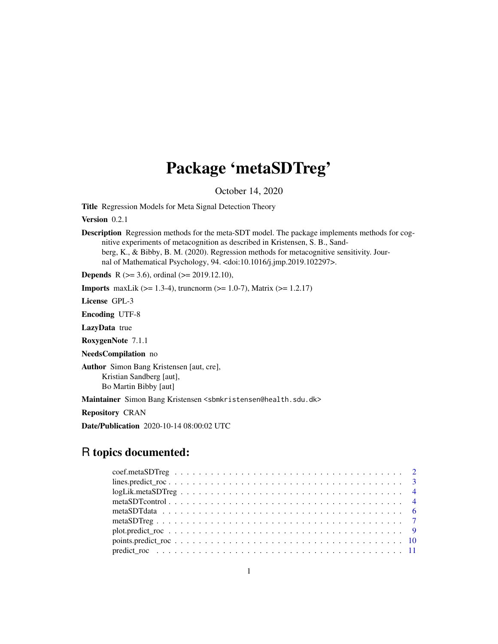# Package 'metaSDTreg'

October 14, 2020

<span id="page-0-0"></span>Title Regression Models for Meta Signal Detection Theory

Version 0.2.1

Description Regression methods for the meta-SDT model. The package implements methods for cognitive experiments of metacognition as described in Kristensen, S. B., Sandberg, K., & Bibby, B. M. (2020). Regression methods for metacognitive sensitivity. Journal of Mathematical Psychology, 94. <doi:10.1016/j.jmp.2019.102297>.

**Depends** R ( $>= 3.6$ ), ordinal ( $>= 2019.12.10$ ),

**Imports** maxLik ( $>= 1.3-4$ ), truncnorm ( $>= 1.0-7$ ), Matrix ( $>= 1.2.17$ )

License GPL-3

Encoding UTF-8

LazyData true

RoxygenNote 7.1.1

NeedsCompilation no

Author Simon Bang Kristensen [aut, cre], Kristian Sandberg [aut], Bo Martin Bibby [aut]

Maintainer Simon Bang Kristensen <sbmkristensen@health.sdu.dk>

Repository CRAN

Date/Publication 2020-10-14 08:00:02 UTC

## R topics documented:

| $plot.predict\_roc \ldots \ldots \ldots \ldots \ldots \ldots \ldots \ldots \ldots \ldots \ldots \ldots \ldots 9$ |  |  |  |  |  |  |  |  |  |  |  |  |  |  |  |  |  |  |
|------------------------------------------------------------------------------------------------------------------|--|--|--|--|--|--|--|--|--|--|--|--|--|--|--|--|--|--|
|                                                                                                                  |  |  |  |  |  |  |  |  |  |  |  |  |  |  |  |  |  |  |
|                                                                                                                  |  |  |  |  |  |  |  |  |  |  |  |  |  |  |  |  |  |  |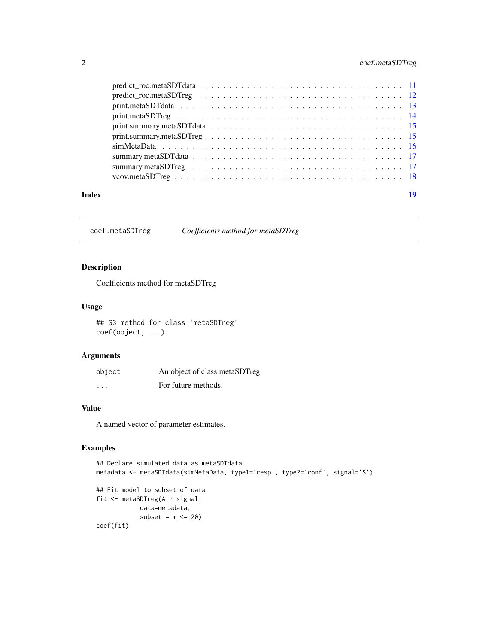#### <span id="page-1-0"></span>2 coef.metaSDTreg

| 19 |
|----|
|    |
|    |
|    |
|    |
|    |
|    |
|    |
|    |
|    |
|    |
|    |

coef.metaSDTreg *Coefficients method for metaSDTreg*

#### Description

Coefficients method for metaSDTreg

#### Usage

## S3 method for class 'metaSDTreg' coef(object, ...)

#### Arguments

| object   | An object of class metaSDTreg. |
|----------|--------------------------------|
| $\cdots$ | For future methods.            |

#### Value

A named vector of parameter estimates.

```
## Declare simulated data as metaSDTdata
metadata <- metaSDTdata(simMetaData, type1='resp', type2='conf', signal='S')
## Fit model to subset of data
fit <- metaSDTreg(A ~ signal,
           data=metadata,
           subset = m \le 20)
coef(fit)
```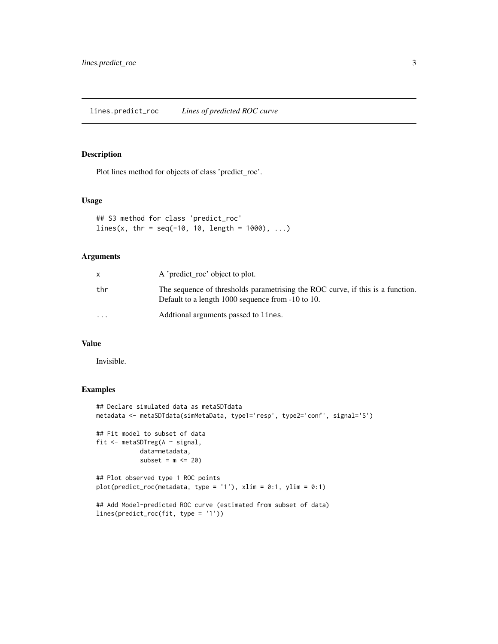<span id="page-2-0"></span>Plot lines method for objects of class 'predict\_roc'.

#### Usage

```
## S3 method for class 'predict_roc'
lines(x, thr = seq(-10, 10, length = 1000), ...)
```
#### Arguments

|                         | A 'predict roc' object to plot.                                                                                                     |
|-------------------------|-------------------------------------------------------------------------------------------------------------------------------------|
| thr                     | The sequence of thresholds parametrising the ROC curve, if this is a function.<br>Default to a length 1000 sequence from -10 to 10. |
| $\cdot$ $\cdot$ $\cdot$ | Additional arguments passed to lines.                                                                                               |

#### Value

Invisible.

```
## Declare simulated data as metaSDTdata
metadata <- metaSDTdata(simMetaData, type1='resp', type2='conf', signal='S')
## Fit model to subset of data
fit <- metaSDTreg(A ~ signal,
            data=metadata,
            subset = m \le 20## Plot observed type 1 ROC points
plot(predict\_roc(metadata, type = '1'), xlim = 0:1, ylim = 0:1)
```

```
## Add Model-predicted ROC curve (estimated from subset of data)
lines(predict_roc(fit, type = '1'))
```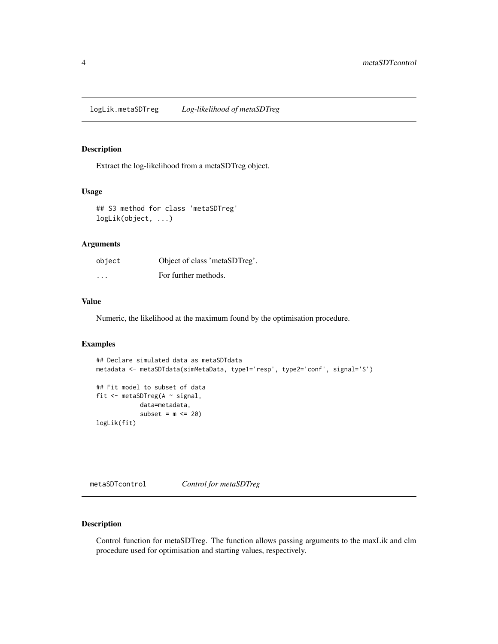<span id="page-3-0"></span>Extract the log-likelihood from a metaSDTreg object.

#### Usage

```
## S3 method for class 'metaSDTreg'
logLik(object, ...)
```
#### Arguments

| object   | Object of class 'metaSDTreg'. |
|----------|-------------------------------|
| $\cdots$ | For further methods.          |

#### Value

Numeric, the likelihood at the maximum found by the optimisation procedure.

#### Examples

```
## Declare simulated data as metaSDTdata
metadata <- metaSDTdata(simMetaData, type1='resp', type2='conf', signal='S')
## Fit model to subset of data
fit <- metaSDTreg(A ~ signal,
           data=metadata,
            subset = m \le 20logLik(fit)
```
<span id="page-3-1"></span>metaSDTcontrol *Control for metaSDTreg*

#### Description

Control function for metaSDTreg. The function allows passing arguments to the maxLik and clm procedure used for optimisation and starting values, respectively.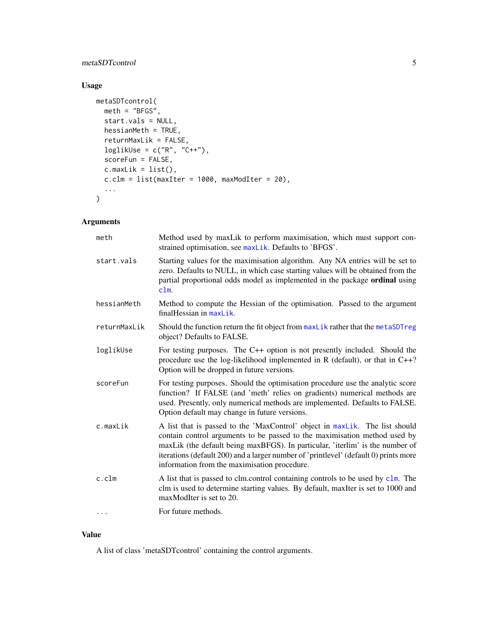#### <span id="page-4-0"></span>metaSDTcontrol 5

#### Usage

```
metaSDTcontrol(
 meth = "BFGS",start.vals = NULL,
  hessianMeth = TRUE,
  returnMaxLik = FALSE,
  loglikUse = c("R", "C++"),
  scoreFun = FALSE,
  c.maxLik = list(),cclm = list(maxIter = 1000, maxModIter = 20),...
\mathcal{L}
```
#### Arguments

| meth         | Method used by maxLik to perform maximisation, which must support con-<br>strained optimisation, see maxLik. Defaults to 'BFGS'.                                                                                                                                                                                                                                                  |
|--------------|-----------------------------------------------------------------------------------------------------------------------------------------------------------------------------------------------------------------------------------------------------------------------------------------------------------------------------------------------------------------------------------|
| start.vals   | Starting values for the maximisation algorithm. Any NA entries will be set to<br>zero. Defaults to NULL, in which case starting values will be obtained from the<br>partial proportional odds model as implemented in the package ordinal using<br>clm.                                                                                                                           |
| hessianMeth  | Method to compute the Hessian of the optimisation. Passed to the argument<br>$finalHessian in maxList.$                                                                                                                                                                                                                                                                           |
| returnMaxLik | Should the function return the fit object from maxLik rather that the metaSDTreg<br>object? Defaults to FALSE.                                                                                                                                                                                                                                                                    |
| loglikUse    | For testing purposes. The C++ option is not presently included. Should the<br>procedure use the log-likelihood implemented in R (default), or that in $C++?$<br>Option will be dropped in future versions.                                                                                                                                                                        |
| scoreFun     | For testing purposes. Should the optimisation procedure use the analytic score<br>function? If FALSE (and 'meth' relies on gradients) numerical methods are<br>used. Presently, only numerical methods are implemented. Defaults to FALSE.<br>Option default may change in future versions.                                                                                       |
| c.maxLik     | A list that is passed to the 'MaxControl' object in maxLik. The list should<br>contain control arguments to be passed to the maximisation method used by<br>maxLik (the default being maxBFGS). In particular, 'iterlim' is the number of<br>iterations (default 200) and a larger number of 'printlevel' (default 0) prints more<br>information from the maximisation procedure. |
| c.c.         | A list that is passed to clm.control containing controls to be used by clm. The<br>clm is used to determine starting values. By default, maxIter is set to 1000 and<br>maxModIter is set to 20.                                                                                                                                                                                   |
| $\cdots$     | For future methods.                                                                                                                                                                                                                                                                                                                                                               |

#### Value

A list of class 'metaSDTcontrol' containing the control arguments.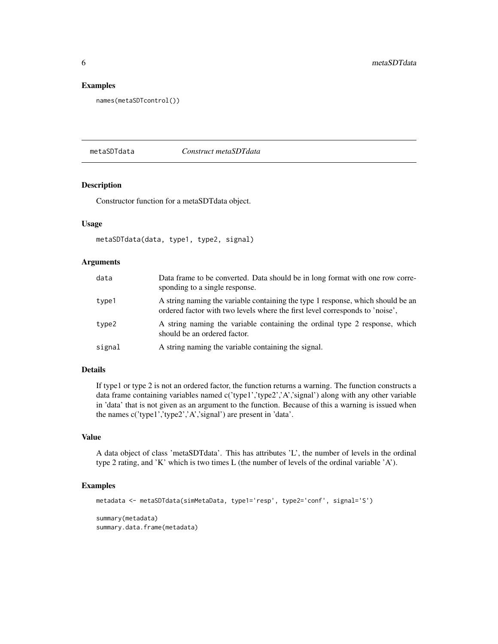#### Examples

names(metaSDTcontrol())

<span id="page-5-1"></span>metaSDTdata *Construct metaSDTdata*

#### Description

Constructor function for a metaSDTdata object.

#### Usage

```
metaSDTdata(data, type1, type2, signal)
```
#### Arguments

| data   | Data frame to be converted. Data should be in long format with one row corre-<br>sponding to a single response.                                                 |
|--------|-----------------------------------------------------------------------------------------------------------------------------------------------------------------|
| type1  | A string naming the variable containing the type 1 response, which should be an<br>ordered factor with two levels where the first level corresponds to 'noise'. |
| type2  | A string naming the variable containing the ordinal type 2 response, which<br>should be an ordered factor.                                                      |
| signal | A string naming the variable containing the signal.                                                                                                             |

#### Details

If type1 or type 2 is not an ordered factor, the function returns a warning. The function constructs a data frame containing variables named c('type1','type2','A','signal') along with any other variable in 'data' that is not given as an argument to the function. Because of this a warning is issued when the names c('type1','type2','A','signal') are present in 'data'.

#### Value

A data object of class 'metaSDTdata'. This has attributes 'L', the number of levels in the ordinal type 2 rating, and 'K' which is two times L (the number of levels of the ordinal variable 'A').

#### Examples

```
metadata <- metaSDTdata(simMetaData, type1='resp', type2='conf', signal='S')
```
summary(metadata) summary.data.frame(metadata)

<span id="page-5-0"></span>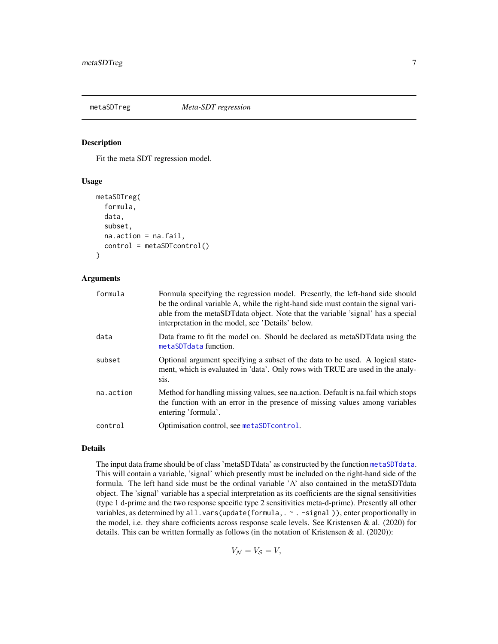<span id="page-6-1"></span><span id="page-6-0"></span>

Fit the meta SDT regression model.

#### Usage

```
metaSDTreg(
  formula,
  data,
  subset,
  na.action = na.fail,
  control = metaSDTcontrol()
)
```
#### Arguments

| formula   | Formula specifying the regression model. Presently, the left-hand side should<br>be the ordinal variable A, while the right-hand side must contain the signal vari-<br>able from the metaSDT data object. Note that the variable 'signal' has a special<br>interpretation in the model, see 'Details' below. |
|-----------|--------------------------------------------------------------------------------------------------------------------------------------------------------------------------------------------------------------------------------------------------------------------------------------------------------------|
| data      | Data frame to fit the model on. Should be declared as metaSDT data using the<br>metaSDTdata function.                                                                                                                                                                                                        |
| subset    | Optional argument specifying a subset of the data to be used. A logical state-<br>ment, which is evaluated in 'data'. Only rows with TRUE are used in the analy-<br>S <sub>is</sub> .                                                                                                                        |
| na.action | Method for handling missing values, see nation. Default is naileal which stops<br>the function with an error in the presence of missing values among variables<br>entering 'formula'.                                                                                                                        |
| control   | Optimisation control, see metaSDTcontrol.                                                                                                                                                                                                                                                                    |

#### Details

The input data frame should be of class 'metaSDTdata' as constructed by the function [metaSDTdata](#page-5-1). This will contain a variable, 'signal' which presently must be included on the right-hand side of the formula. The left hand side must be the ordinal variable 'A' also contained in the metaSDTdata object. The 'signal' variable has a special interpretation as its coefficients are the signal sensitivities (type 1 d-prime and the two response specific type 2 sensitivities meta-d-prime). Presently all other variables, as determined by all.vars(update(formula, . ~ . -signal)), enter proportionally in the model, i.e. they share cofficients across response scale levels. See Kristensen & al. (2020) for details. This can be written formally as follows (in the notation of Kristensen & al.  $(2020)$ ):

 $V_{\mathcal{N}}=V_{\mathcal{S}}=V,$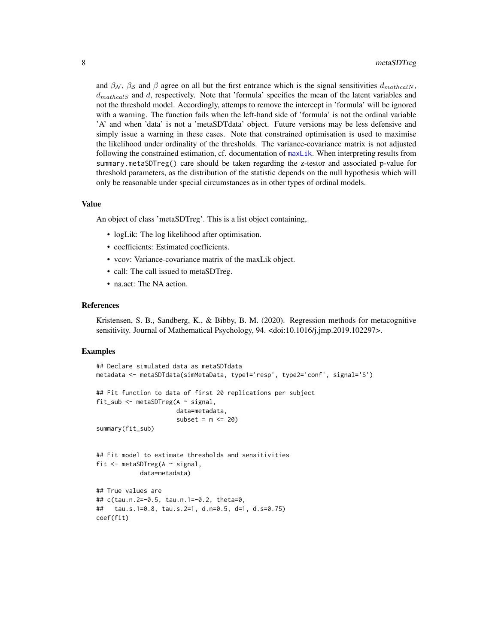and  $\beta_N$ ,  $\beta_S$  and  $\beta$  agree on all but the first entrance which is the signal sensitivities  $d_{math}$  $d_{mathals}$  and d, respectively. Note that 'formula' specifies the mean of the latent variables and not the threshold model. Accordingly, attemps to remove the intercept in 'formula' will be ignored with a warning. The function fails when the left-hand side of 'formula' is not the ordinal variable 'A' and when 'data' is not a 'metaSDTdata' object. Future versions may be less defensive and simply issue a warning in these cases. Note that constrained optimisation is used to maximise the likelihood under ordinality of the thresholds. The variance-covariance matrix is not adjusted following the constrained estimation, cf. documentation of [maxLik](#page-0-0). When interpreting results from summary.metaSDTreg() care should be taken regarding the z-testor and associated p-value for threshold parameters, as the distribution of the statistic depends on the null hypothesis which will only be reasonable under special circumstances as in other types of ordinal models.

#### Value

An object of class 'metaSDTreg'. This is a list object containing,

- logLik: The log likelihood after optimisation.
- coefficients: Estimated coefficients.
- vcov: Variance-covariance matrix of the maxLik object.
- call: The call issued to metaSDTreg.
- na.act: The NA action.

#### References

Kristensen, S. B., Sandberg, K., & Bibby, B. M. (2020). Regression methods for metacognitive sensitivity. Journal of Mathematical Psychology, 94. <doi:10.1016/j.jmp.2019.102297>.

```
## Declare simulated data as metaSDTdata
metadata <- metaSDTdata(simMetaData, type1='resp', type2='conf', signal='S')
## Fit function to data of first 20 replications per subject
fit_sub <- metaSDTreg(A ~ signal,
                      data=metadata,
                      subset = m \le 20)
summary(fit_sub)
## Fit model to estimate thresholds and sensitivities
fit <- metaSDTreg(A ~ signal,
            data=metadata)
## True values are
## c(tau.n.2=-0.5, tau.n.1=-0.2, theta=0,
## tau.s.1=0.8, tau.s.2=1, d.n=0.5, d=1, d.s=0.75)
coef(fit)
```
<span id="page-7-0"></span>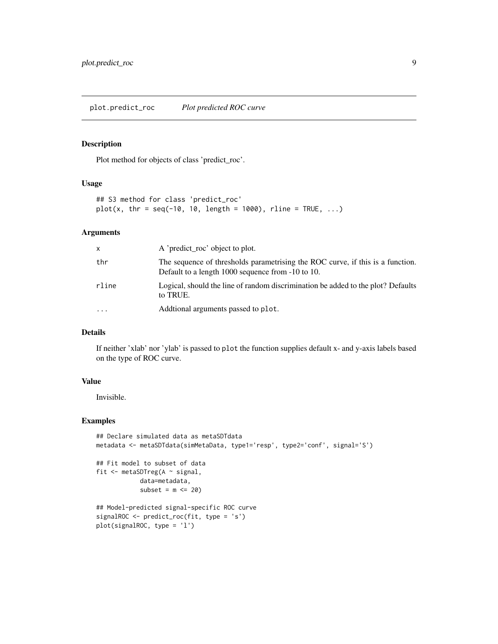<span id="page-8-0"></span>Plot method for objects of class 'predict\_roc'.

#### Usage

```
## S3 method for class 'predict_roc'
plot(x, thr = seq(-10, 10, length = 1000), rline = TRUE, ...)
```
#### Arguments

| X         | A 'predict_roc' object to plot.                                                                                                     |
|-----------|-------------------------------------------------------------------------------------------------------------------------------------|
| thr       | The sequence of thresholds parametrising the ROC curve, if this is a function.<br>Default to a length 1000 sequence from -10 to 10. |
| rline     | Logical, should the line of random discrimination be added to the plot? Defaults<br>to TRUE.                                        |
| $\ddotsc$ | Additional arguments passed to plot.                                                                                                |

#### Details

If neither 'xlab' nor 'ylab' is passed to plot the function supplies default x- and y-axis labels based on the type of ROC curve.

#### Value

Invisible.

```
## Declare simulated data as metaSDTdata
metadata <- metaSDTdata(simMetaData, type1='resp', type2='conf', signal='S')
## Fit model to subset of data
fit <- metaSDTreg(A ~ signal,
            data=metadata,
            subset = m \le 20## Model-predicted signal-specific ROC curve
signalROC <- predict_roc(fit, type = 's')
plot(signalROC, type = 'l')
```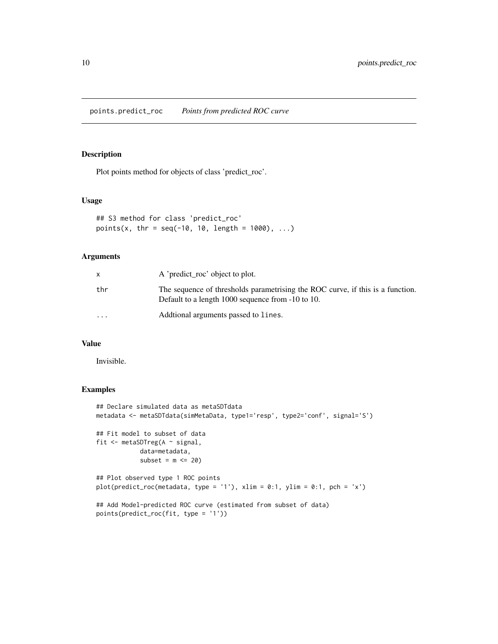<span id="page-9-0"></span>points.predict\_roc *Points from predicted ROC curve*

#### Description

Plot points method for objects of class 'predict\_roc'.

#### Usage

```
## S3 method for class 'predict_roc'
points(x, thr = seq(-10, 10, length = 1000), ...)
```
#### Arguments

|                         | A 'predict_roc' object to plot.                                                                                                     |
|-------------------------|-------------------------------------------------------------------------------------------------------------------------------------|
| thr                     | The sequence of thresholds parametrising the ROC curve, if this is a function.<br>Default to a length 1000 sequence from -10 to 10. |
| $\cdot$ $\cdot$ $\cdot$ | Additional arguments passed to lines.                                                                                               |

#### Value

Invisible.

points(predict\_roc(fit, type = '1'))

```
## Declare simulated data as metaSDTdata
metadata <- metaSDTdata(simMetaData, type1='resp', type2='conf', signal='S')
## Fit model to subset of data
fit <- metaSDTreg(A ~ signal,
            data=metadata,
            subset = m \le 20## Plot observed type 1 ROC points
plot(predict_roc(metadata, type = '1'), xlim = 0:1, ylim = 0:1, pch = 'x')
## Add Model-predicted ROC curve (estimated from subset of data)
```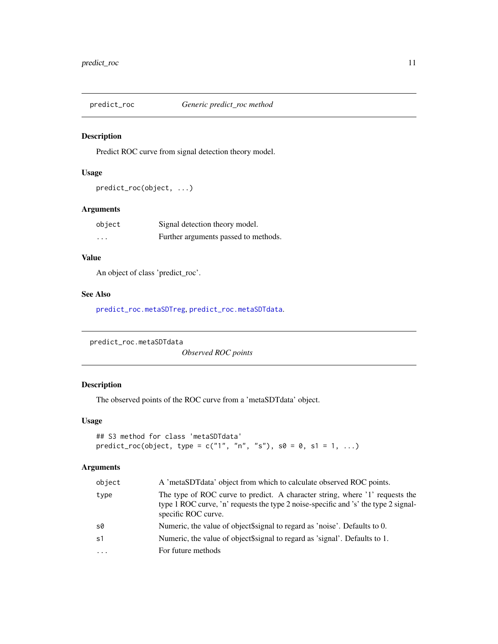<span id="page-10-0"></span>

Predict ROC curve from signal detection theory model.

#### Usage

```
predict_roc(object, ...)
```
#### Arguments

| object                  | Signal detection theory model.       |
|-------------------------|--------------------------------------|
| $\cdot$ $\cdot$ $\cdot$ | Further arguments passed to methods. |

#### Value

An object of class 'predict\_roc'.

#### See Also

[predict\\_roc.metaSDTreg](#page-11-1), [predict\\_roc.metaSDTdata](#page-10-1).

```
predict_roc.metaSDTdata
```
*Observed ROC points*

#### Description

The observed points of the ROC curve from a 'metaSDTdata' object.

#### Usage

```
## S3 method for class 'metaSDTdata'
predict\_roc(object, type = c("1", "n", "s"), so = 0, s1 = 1, ...)
```

| object     | A 'metaSDTdata' object from which to calculate observed ROC points.                                                                                                                        |
|------------|--------------------------------------------------------------------------------------------------------------------------------------------------------------------------------------------|
| type       | The type of ROC curve to predict. A character string, where '1' requests the<br>type 1 ROC curve, 'n' requests the type 2 noise-specific and 's' the type 2 signal-<br>specific ROC curve. |
| s0         | Numeric, the value of object\$signal to regard as 'noise'. Defaults to 0.                                                                                                                  |
| s1         | Numeric, the value of object \$signal to regard as 'signal'. Defaults to 1.                                                                                                                |
| $\ddots$ . | For future methods                                                                                                                                                                         |
|            |                                                                                                                                                                                            |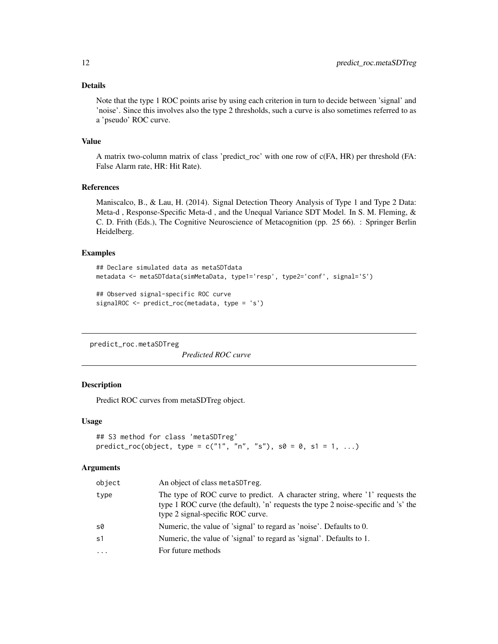#### <span id="page-11-0"></span>Details

Note that the type 1 ROC points arise by using each criterion in turn to decide between 'signal' and 'noise'. Since this involves also the type 2 thresholds, such a curve is also sometimes referred to as a 'pseudo' ROC curve.

#### Value

A matrix two-column matrix of class 'predict\_roc' with one row of c(FA, HR) per threshold (FA: False Alarm rate, HR: Hit Rate).

#### References

Maniscalco, B., & Lau, H. (2014). Signal Detection Theory Analysis of Type 1 and Type 2 Data: Meta-d , Response-Specific Meta-d , and the Unequal Variance SDT Model. In S. M. Fleming, & C. D. Frith (Eds.), The Cognitive Neuroscience of Metacognition (pp. 25 66). : Springer Berlin Heidelberg.

#### Examples

```
## Declare simulated data as metaSDTdata
metadata <- metaSDTdata(simMetaData, type1='resp', type2='conf', signal='S')
## Observed signal-specific ROC curve
```

```
signalROC <- predict_roc(metadata, type = 's')
```
<span id="page-11-1"></span>predict\_roc.metaSDTreg

*Predicted ROC curve*

#### Description

Predict ROC curves from metaSDTreg object.

#### Usage

```
## S3 method for class 'metaSDTreg'
predict\_roc(object, type = c("1", "n", "s"), so = 0, s1 = 1, ...)
```

| object | An object of class metaSDTreg.                                                                                                                                                                          |
|--------|---------------------------------------------------------------------------------------------------------------------------------------------------------------------------------------------------------|
| type   | The type of ROC curve to predict. A character string, where '1' requests the<br>type 1 ROC curve (the default), 'n' requests the type 2 noise-specific and 's' the<br>type 2 signal-specific ROC curve. |
| s0     | Numeric, the value of 'signal' to regard as 'noise'. Defaults to 0.                                                                                                                                     |
| s1     | Numeric, the value of 'signal' to regard as 'signal'. Defaults to 1.                                                                                                                                    |
| .      | For future methods                                                                                                                                                                                      |
|        |                                                                                                                                                                                                         |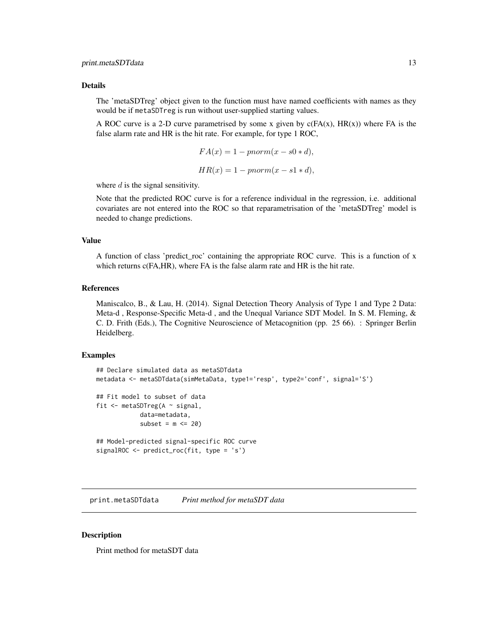#### <span id="page-12-0"></span>Details

The 'metaSDTreg' object given to the function must have named coefficients with names as they would be if metaSDTreg is run without user-supplied starting values.

A ROC curve is a 2-D curve parametrised by some x given by  $c(FA(x), HR(x))$  where FA is the false alarm rate and HR is the hit rate. For example, for type 1 ROC,

$$
FA(x) = 1 - pnorm(x - s0 * d),
$$
  

$$
HR(x) = 1 - pnorm(x - s1 * d),
$$

where  $d$  is the signal sensitivity.

Note that the predicted ROC curve is for a reference individual in the regression, i.e. additional covariates are not entered into the ROC so that reparametrisation of the 'metaSDTreg' model is needed to change predictions.

#### Value

A function of class 'predict\_roc' containing the appropriate ROC curve. This is a function of x which returns c(FA,HR), where FA is the false alarm rate and HR is the hit rate.

#### References

Maniscalco, B., & Lau, H. (2014). Signal Detection Theory Analysis of Type 1 and Type 2 Data: Meta-d , Response-Specific Meta-d , and the Unequal Variance SDT Model. In S. M. Fleming, & C. D. Frith (Eds.), The Cognitive Neuroscience of Metacognition (pp. 25 66). : Springer Berlin Heidelberg.

#### Examples

```
## Declare simulated data as metaSDTdata
metadata <- metaSDTdata(simMetaData, type1='resp', type2='conf', signal='S')
## Fit model to subset of data
fit \leq metaSDTreg(A \sim signal,
            data=metadata,
            subset = m \le 20## Model-predicted signal-specific ROC curve
signalROC <- predict_roc(fit, type = 's')
```
print.metaSDTdata *Print method for metaSDT data*

#### Description

Print method for metaSDT data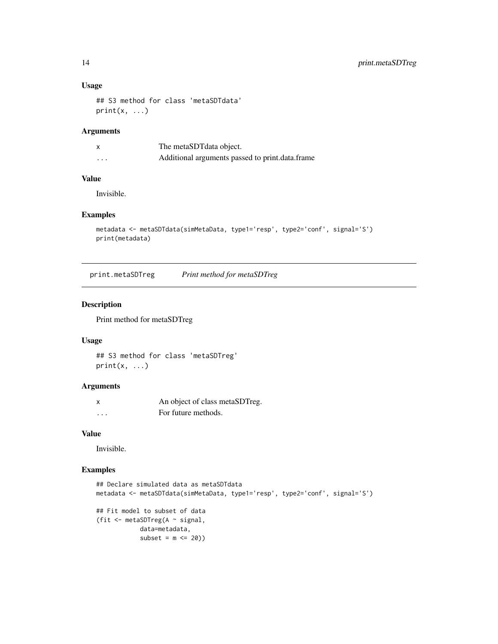#### Usage

```
## S3 method for class 'metaSDTdata'
print(x, \ldots)
```
#### Arguments

|          | The metaSDT data object.                        |
|----------|-------------------------------------------------|
| $\cdots$ | Additional arguments passed to print.data.frame |

#### Value

Invisible.

#### Examples

```
metadata <- metaSDTdata(simMetaData, type1='resp', type2='conf', signal='S')
print(metadata)
```
print.metaSDTreg *Print method for metaSDTreg*

#### Description

Print method for metaSDTreg

#### Usage

```
## S3 method for class 'metaSDTreg'
print(x, \ldots)
```
#### Arguments

| X        | An object of class metaSDTreg. |
|----------|--------------------------------|
| $\cdots$ | For future methods.            |

#### Value

Invisible.

```
## Declare simulated data as metaSDTdata
metadata <- metaSDTdata(simMetaData, type1='resp', type2='conf', signal='S')
## Fit model to subset of data
(fit <- metaSDTreg(A ~ signal,
            data=metadata,
            subset = m \leq 20)
```
<span id="page-13-0"></span>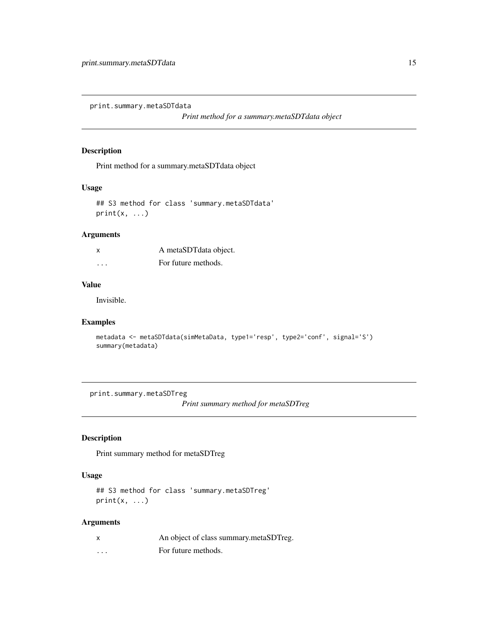<span id="page-14-0"></span>print.summary.metaSDTdata

*Print method for a summary.metaSDTdata object*

#### Description

Print method for a summary.metaSDTdata object

#### Usage

```
## S3 method for class 'summary.metaSDTdata'
print(x, \ldots)
```
#### Arguments

| X       | A metaSDTdata object. |
|---------|-----------------------|
| $\cdot$ | For future methods.   |

#### Value

Invisible.

#### Examples

```
metadata <- metaSDTdata(simMetaData, type1='resp', type2='conf', signal='S')
summary(metadata)
```
print.summary.metaSDTreg

*Print summary method for metaSDTreg*

#### Description

Print summary method for metaSDTreg

#### Usage

```
## S3 method for class 'summary.metaSDTreg'
print(x, \ldots)
```

| x | An object of class summary metaSDTreg. |
|---|----------------------------------------|
| . | For future methods.                    |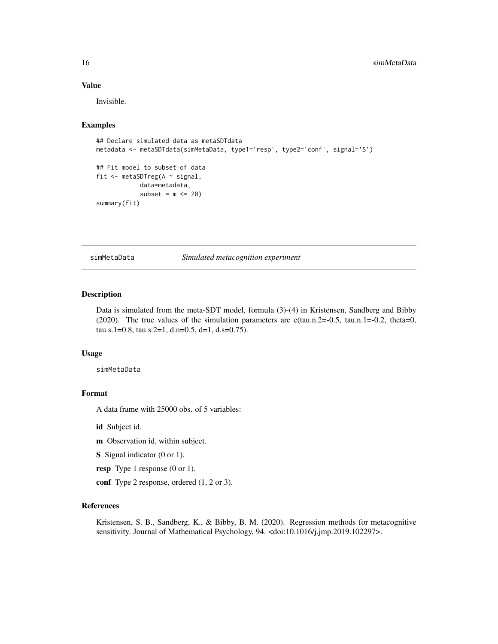#### Value

Invisible.

#### Examples

```
## Declare simulated data as metaSDTdata
metadata <- metaSDTdata(simMetaData, type1='resp', type2='conf', signal='S')
## Fit model to subset of data
fit <- metaSDTreg(A ~ signal,
            data=metadata,
            subset = m \le 20summary(fit)
```
simMetaData *Simulated metacognition experiment*

#### Description

Data is simulated from the meta-SDT model, formula (3)-(4) in Kristensen, Sandberg and Bibby (2020). The true values of the simulation parameters are  $c(tau.n.2=-0.5, tau.n.1=-0.2, theta=0,$ tau.s.1=0.8, tau.s.2=1, d.n=0.5, d=1, d.s=0.75).

#### Usage

simMetaData

#### Format

A data frame with 25000 obs. of 5 variables:

id Subject id.

m Observation id, within subject.

S Signal indicator (0 or 1).

resp Type 1 response (0 or 1).

conf Type 2 response, ordered  $(1, 2 \text{ or } 3)$ .

#### References

Kristensen, S. B., Sandberg, K., & Bibby, B. M. (2020). Regression methods for metacognitive sensitivity. Journal of Mathematical Psychology, 94. <doi:10.1016/j.jmp.2019.102297>.

<span id="page-15-0"></span>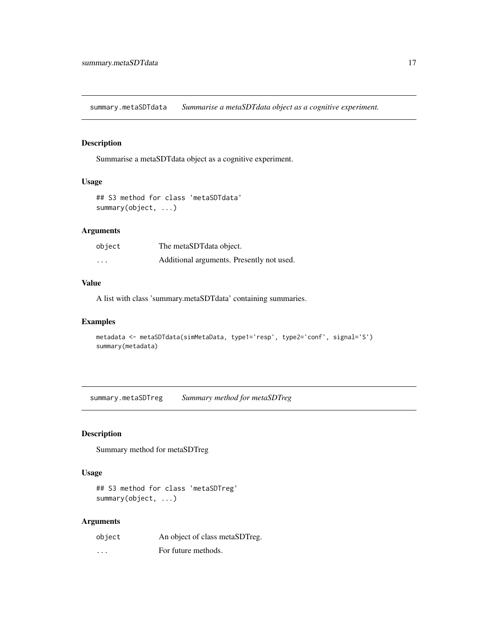<span id="page-16-0"></span>summary.metaSDTdata *Summarise a metaSDTdata object as a cognitive experiment.*

#### Description

Summarise a metaSDTdata object as a cognitive experiment.

#### Usage

```
## S3 method for class 'metaSDTdata'
summary(object, ...)
```
#### Arguments

| object                  | The metaSDT data object.                  |
|-------------------------|-------------------------------------------|
| $\cdot$ $\cdot$ $\cdot$ | Additional arguments. Presently not used. |

#### Value

A list with class 'summary.metaSDTdata' containing summaries.

#### Examples

```
metadata <- metaSDTdata(simMetaData, type1='resp', type2='conf', signal='S')
summary(metadata)
```
summary.metaSDTreg *Summary method for metaSDTreg*

#### Description

Summary method for metaSDTreg

#### Usage

```
## S3 method for class 'metaSDTreg'
summary(object, ...)
```

| object   | An object of class metaSDTreg. |
|----------|--------------------------------|
| $\cdots$ | For future methods.            |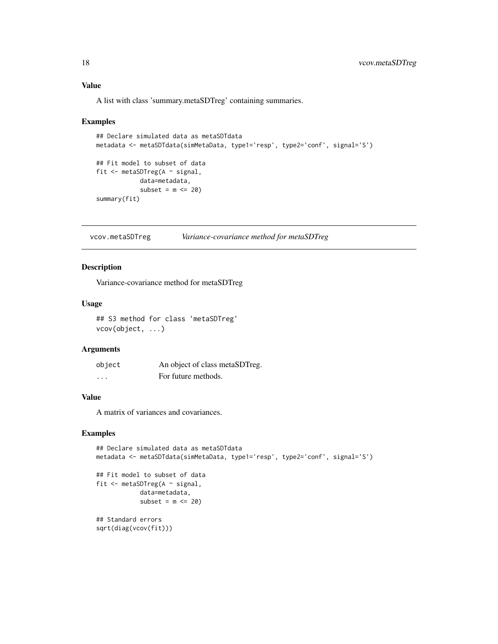#### <span id="page-17-0"></span>Value

A list with class 'summary.metaSDTreg' containing summaries.

#### Examples

```
## Declare simulated data as metaSDTdata
metadata <- metaSDTdata(simMetaData, type1='resp', type2='conf', signal='S')
## Fit model to subset of data
fit <- metaSDTreg(A ~ signal,
           data=metadata,
            subset = m \le 20)
summary(fit)
```
vcov.metaSDTreg *Variance-covariance method for metaSDTreg*

#### Description

Variance-covariance method for metaSDTreg

#### Usage

## S3 method for class 'metaSDTreg' vcov(object, ...)

#### Arguments

| object   | An object of class metaSDTreg. |
|----------|--------------------------------|
| $\cdots$ | For future methods.            |

#### Value

A matrix of variances and covariances.

```
## Declare simulated data as metaSDTdata
metadata <- metaSDTdata(simMetaData, type1='resp', type2='conf', signal='S')
## Fit model to subset of data
fit <- metaSDTreg(A ~ signal,
            data=metadata,
            subset = m \leq 20)
## Standard errors
sqrt(diag(vcov(fit)))
```